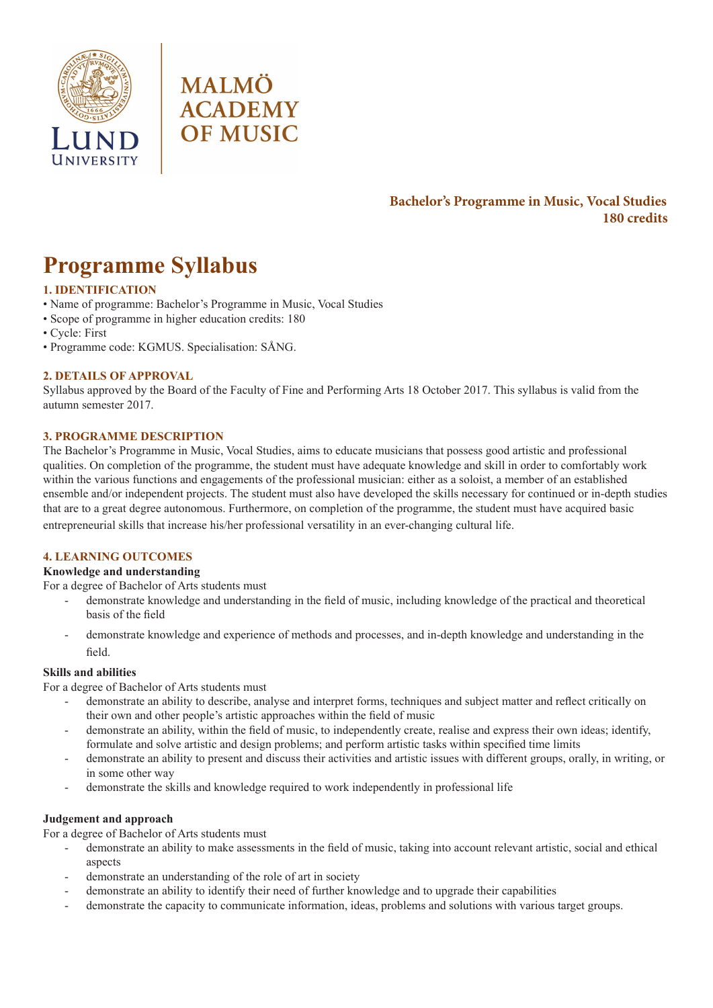



## **Bachelor's Programme in Music, Vocal Studies 180 credits**

# **Programme Syllabus**

### **1. IDENTIFICATION**

- Name of programme: Bachelor's Programme in Music, Vocal Studies
- Scope of programme in higher education credits: 180
- Cycle: First
- Programme code: KGMUS. Specialisation: SÅNG.

#### **2. DETAILS OF APPROVAL**

Syllabus approved by the Board of the Faculty of Fine and Performing Arts 18 October 2017. This syllabus is valid from the autumn semester 2017.

#### **3. PROGRAMME DESCRIPTION**

The Bachelor's Programme in Music, Vocal Studies, aims to educate musicians that possess good artistic and professional qualities. On completion of the programme, the student must have adequate knowledge and skill in order to comfortably work within the various functions and engagements of the professional musician: either as a soloist, a member of an established ensemble and/or independent projects. The student must also have developed the skills necessary for continued or in-depth studies that are to a great degree autonomous. Furthermore, on completion of the programme, the student must have acquired basic entrepreneurial skills that increase his/her professional versatility in an ever-changing cultural life.

#### **4. LEARNING OUTCOMES**

#### **Knowledge and understanding**

For a degree of Bachelor of Arts students must

- demonstrate knowledge and understanding in the field of music, including knowledge of the practical and theoretical basis of the field
- demonstrate knowledge and experience of methods and processes, and in-depth knowledge and understanding in the field.

#### **Skills and abilities**

For a degree of Bachelor of Arts students must

- demonstrate an ability to describe, analyse and interpret forms, techniques and subject matter and reflect critically on their own and other people's artistic approaches within the field of music
- demonstrate an ability, within the field of music, to independently create, realise and express their own ideas; identify, formulate and solve artistic and design problems; and perform artistic tasks within specified time limits
- demonstrate an ability to present and discuss their activities and artistic issues with different groups, orally, in writing, or in some other way
- demonstrate the skills and knowledge required to work independently in professional life

#### **Judgement and approach**

For a degree of Bachelor of Arts students must

- demonstrate an ability to make assessments in the field of music, taking into account relevant artistic, social and ethical aspects
- demonstrate an understanding of the role of art in society
- demonstrate an ability to identify their need of further knowledge and to upgrade their capabilities
- demonstrate the capacity to communicate information, ideas, problems and solutions with various target groups.